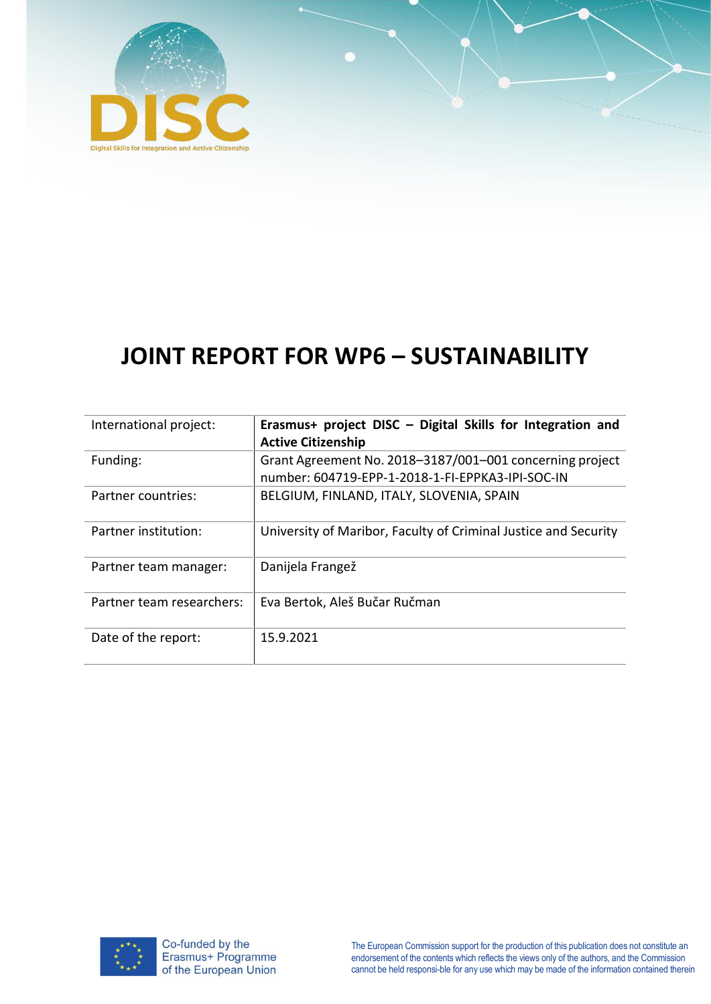

# **JOINT REPORT FOR WP6 – SUSTAINABILITY**

| International project:    | Erasmus+ project DISC - Digital Skills for Integration and<br><b>Active Citizenship</b>                      |
|---------------------------|--------------------------------------------------------------------------------------------------------------|
| Funding:                  | Grant Agreement No. 2018-3187/001-001 concerning project<br>number: 604719-EPP-1-2018-1-FI-EPPKA3-IPI-SOC-IN |
| Partner countries:        | BELGIUM, FINLAND, ITALY, SLOVENIA, SPAIN                                                                     |
| Partner institution:      | University of Maribor, Faculty of Criminal Justice and Security                                              |
| Partner team manager:     | Danijela Frangež                                                                                             |
| Partner team researchers: | Eva Bertok, Aleš Bučar Ručman                                                                                |
| Date of the report:       | 15.9.2021                                                                                                    |

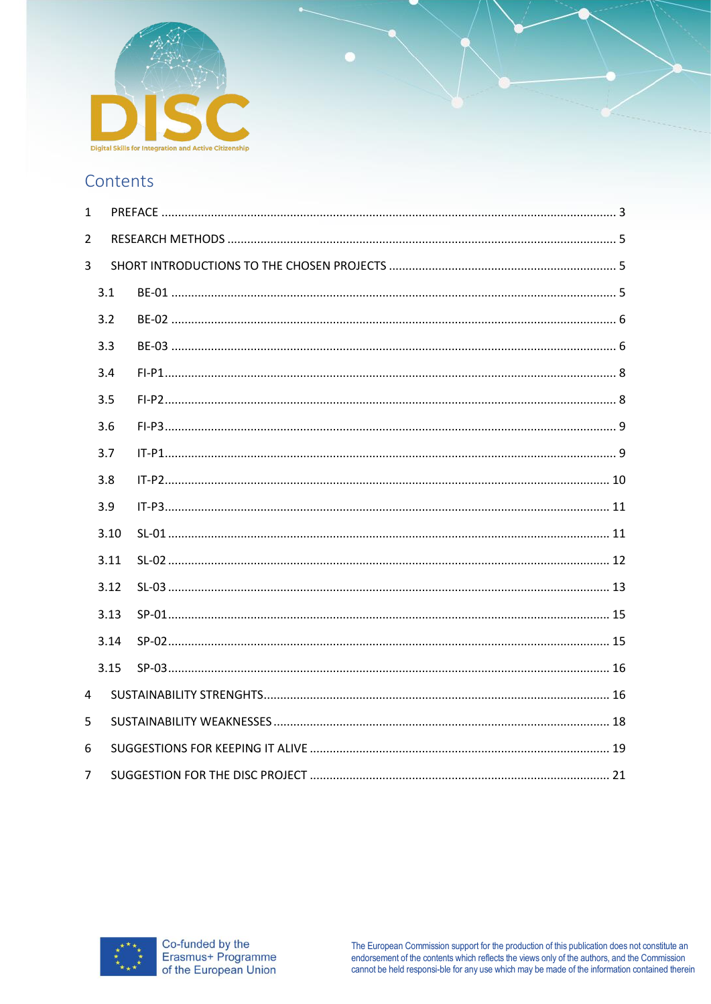

# Contents

| $\mathbf{1}$   |      |  |
|----------------|------|--|
| $\overline{2}$ |      |  |
| 3              |      |  |
|                | 3.1  |  |
|                | 3.2  |  |
|                | 3.3  |  |
|                | 3.4  |  |
|                | 3.5  |  |
|                | 3.6  |  |
|                | 3.7  |  |
|                | 3.8  |  |
|                | 3.9  |  |
|                | 3.10 |  |
|                | 3.11 |  |
|                | 3.12 |  |
|                | 3.13 |  |
|                | 3.14 |  |
|                | 3.15 |  |
| 4              |      |  |
| 5              |      |  |
| 6              |      |  |
| 7              |      |  |

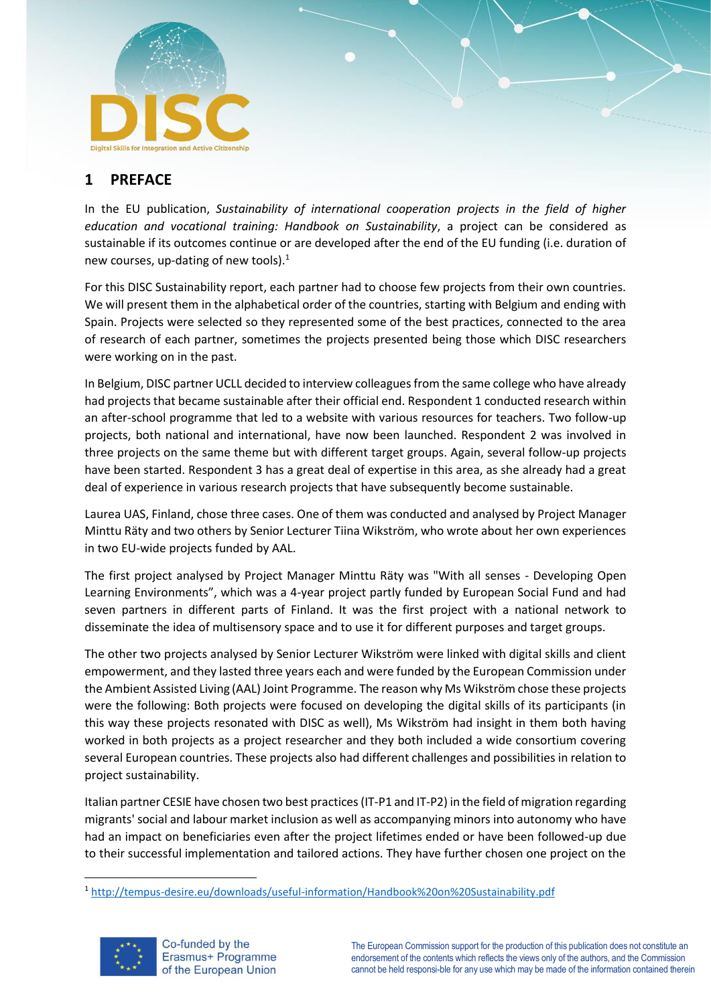

# <span id="page-2-0"></span>**1 PREFACE**

In the EU publication, *Sustainability of international cooperation projects in the field of higher education and vocational training: Handbook on Sustainability*, a project can be considered as sustainable if its outcomes continue or are developed after the end of the EU funding (i.e. duration of new courses, up-dating of new tools).<sup>1</sup>

For this DISC Sustainability report, each partner had to choose few projects from their own countries. We will present them in the alphabetical order of the countries, starting with Belgium and ending with Spain. Projects were selected so they represented some of the best practices, connected to the area of research of each partner, sometimes the projects presented being those which DISC researchers were working on in the past.

In Belgium, DISC partner UCLL decided to interview colleagues from the same college who have already had projects that became sustainable after their official end. Respondent 1 conducted research within an after-school programme that led to a website with various resources for teachers. Two follow-up projects, both national and international, have now been launched. Respondent 2 was involved in three projects on the same theme but with different target groups. Again, several follow-up projects have been started. Respondent 3 has a great deal of expertise in this area, as she already had a great deal of experience in various research projects that have subsequently become sustainable.

Laurea UAS, Finland, chose three cases. One of them was conducted and analysed by Project Manager Minttu Räty and two others by Senior Lecturer Tiina Wikström, who wrote about her own experiences in two EU-wide projects funded by AAL.

The first project analysed by Project Manager Minttu Räty was "With all senses - Developing Open Learning Environments", which was a 4-year project partly funded by European Social Fund and had seven partners in different parts of Finland. It was the first project with a national network to disseminate the idea of multisensory space and to use it for different purposes and target groups.

The other two projects analysed by Senior Lecturer Wikström were linked with digital skills and client empowerment, and they lasted three years each and were funded by the European Commission under the Ambient Assisted Living (AAL) Joint Programme. The reason why Ms Wikström chose these projects were the following: Both projects were focused on developing the digital skills of its participants (in this way these projects resonated with DISC as well), Ms Wikström had insight in them both having worked in both projects as a project researcher and they both included a wide consortium covering several European countries. These projects also had different challenges and possibilities in relation to project sustainability.

Italian partner CESIE have chosen two best practices (IT-P1 and IT-P2) in the field of migration regarding migrants' social and labour market inclusion as well as accompanying minors into autonomy who have had an impact on beneficiaries even after the project lifetimes ended or have been followed-up due to their successful implementation and tailored actions. They have further chosen one project on the

<sup>1</sup> <http://tempus-desire.eu/downloads/useful-information/Handbook%20on%20Sustainability.pdf>

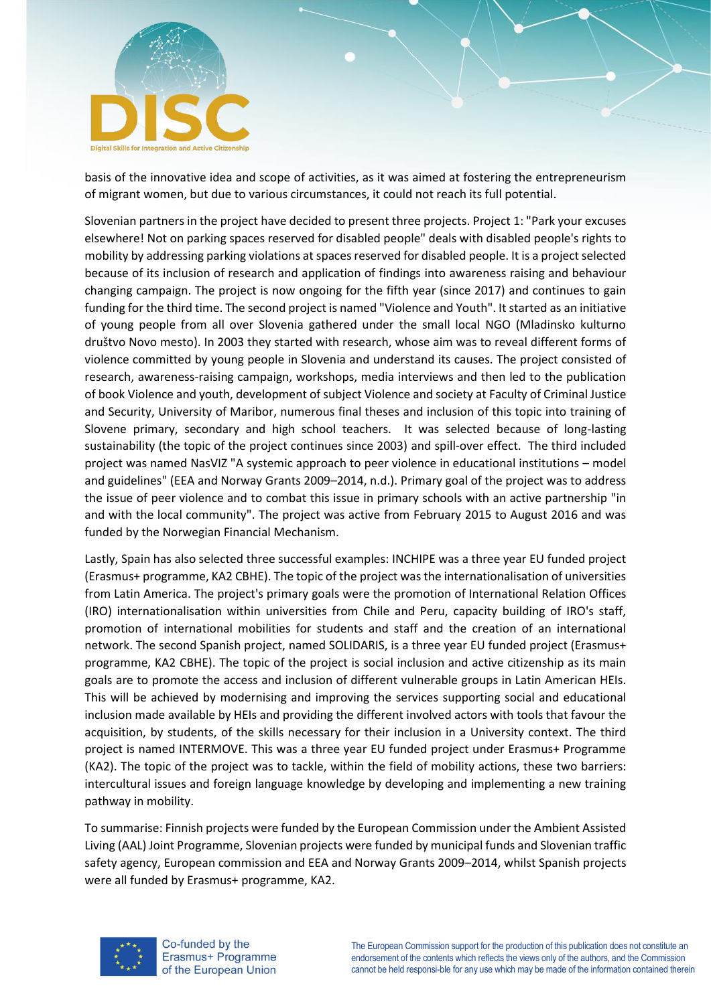

basis of the innovative idea and scope of activities, as it was aimed at fostering the entrepreneurism of migrant women, but due to various circumstances, it could not reach its full potential.

Slovenian partners in the project have decided to present three projects. Project 1: "Park your excuses elsewhere! Not on parking spaces reserved for disabled people" deals with disabled people's rights to mobility by addressing parking violations at spaces reserved for disabled people. It is a project selected because of its inclusion of research and application of findings into awareness raising and behaviour changing campaign. The project is now ongoing for the fifth year (since 2017) and continues to gain funding for the third time. The second project is named "Violence and Youth". It started as an initiative of young people from all over Slovenia gathered under the small local NGO (Mladinsko kulturno društvo Novo mesto). In 2003 they started with research, whose aim was to reveal different forms of violence committed by young people in Slovenia and understand its causes. The project consisted of research, awareness-raising campaign, workshops, media interviews and then led to the publication of book Violence and youth, development of subject Violence and society at Faculty of Criminal Justice and Security, University of Maribor, numerous final theses and inclusion of this topic into training of Slovene primary, secondary and high school teachers. It was selected because of long-lasting sustainability (the topic of the project continues since 2003) and spill-over effect. The third included project was named NasVIZ "A systemic approach to peer violence in educational institutions – model and guidelines" (EEA and Norway Grants 2009–2014, n.d.). Primary goal of the project was to address the issue of peer violence and to combat this issue in primary schools with an active partnership "in and with the local community". The project was active from February 2015 to August 2016 and was funded by the Norwegian Financial Mechanism.

Lastly, Spain has also selected three successful examples: INCHIPE was a three year EU funded project (Erasmus+ programme, KA2 CBHE). The topic of the project was the internationalisation of universities from Latin America. The project's primary goals were the promotion of International Relation Offices (IRO) internationalisation within universities from Chile and Peru, capacity building of IRO's staff, promotion of international mobilities for students and staff and the creation of an international network. The second Spanish project, named SOLIDARIS, is a three year EU funded project (Erasmus+ programme, KA2 CBHE). The topic of the project is social inclusion and active citizenship as its main goals are to promote the access and inclusion of different vulnerable groups in Latin American HEIs. This will be achieved by modernising and improving the services supporting social and educational inclusion made available by HEIs and providing the different involved actors with tools that favour the acquisition, by students, of the skills necessary for their inclusion in a University context. The third project is named INTERMOVE. This was a three year EU funded project under Erasmus+ Programme (KA2). The topic of the project was to tackle, within the field of mobility actions, these two barriers: intercultural issues and foreign language knowledge by developing and implementing a new training pathway in mobility.

To summarise: Finnish projects were funded by the European Commission under the Ambient Assisted Living (AAL) Joint Programme, Slovenian projects were funded by municipal funds and Slovenian traffic safety agency, European commission and EEA and Norway Grants 2009–2014, whilst Spanish projects were all funded by Erasmus+ programme, KA2.

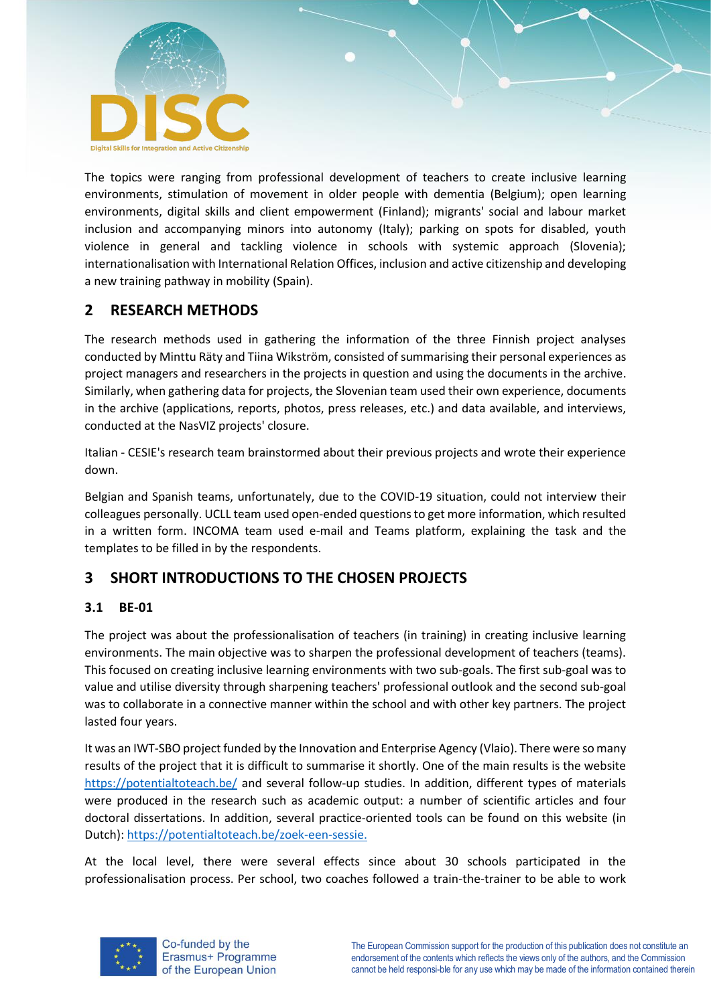

The topics were ranging from professional development of teachers to create inclusive learning environments, stimulation of movement in older people with dementia (Belgium); open learning environments, digital skills and client empowerment (Finland); migrants' social and labour market inclusion and accompanying minors into autonomy (Italy); parking on spots for disabled, youth violence in general and tackling violence in schools with systemic approach (Slovenia); internationalisation with International Relation Offices, inclusion and active citizenship and developing a new training pathway in mobility (Spain).

# <span id="page-4-0"></span>**2 RESEARCH METHODS**

The research methods used in gathering the information of the three Finnish project analyses conducted by Minttu Räty and Tiina Wikström, consisted of summarising their personal experiences as project managers and researchers in the projects in question and using the documents in the archive. Similarly, when gathering data for projects, the Slovenian team used their own experience, documents in the archive (applications, reports, photos, press releases, etc.) and data available, and interviews, conducted at the NasVIZ projects' closure.

Italian - CESIE's research team brainstormed about their previous projects and wrote their experience down.

Belgian and Spanish teams, unfortunately, due to the COVID-19 situation, could not interview their colleagues personally. UCLL team used open-ended questions to get more information, which resulted in a written form. INCOMA team used e-mail and Teams platform, explaining the task and the templates to be filled in by the respondents.

# <span id="page-4-1"></span>**3 SHORT INTRODUCTIONS TO THE CHOSEN PROJECTS**

## <span id="page-4-2"></span>**3.1 BE-01**

The project was about the professionalisation of teachers (in training) in creating inclusive learning environments. The main objective was to sharpen the professional development of teachers (teams). This focused on creating inclusive learning environments with two sub-goals. The first sub-goal was to value and utilise diversity through sharpening teachers' professional outlook and the second sub-goal was to collaborate in a connective manner within the school and with other key partners. The project lasted four years.

It was an IWT-SBO project funded by the Innovation and Enterprise Agency (Vlaio). There were so many results of the project that it is difficult to summarise it shortly. One of the main results is the website <https://potentialtoteach.be/> and several follow-up studies. In addition, different types of materials were produced in the research such as academic output: a number of scientific articles and four doctoral dissertations. In addition, several practice-oriented tools can be found on this website (in Dutch)[: https://potentialtoteach.be/zoek-een-sessie.](https://potentialtoteach.be/zoek-een-sessie.)

At the local level, there were several effects since about 30 schools participated in the professionalisation process. Per school, two coaches followed a train-the-trainer to be able to work

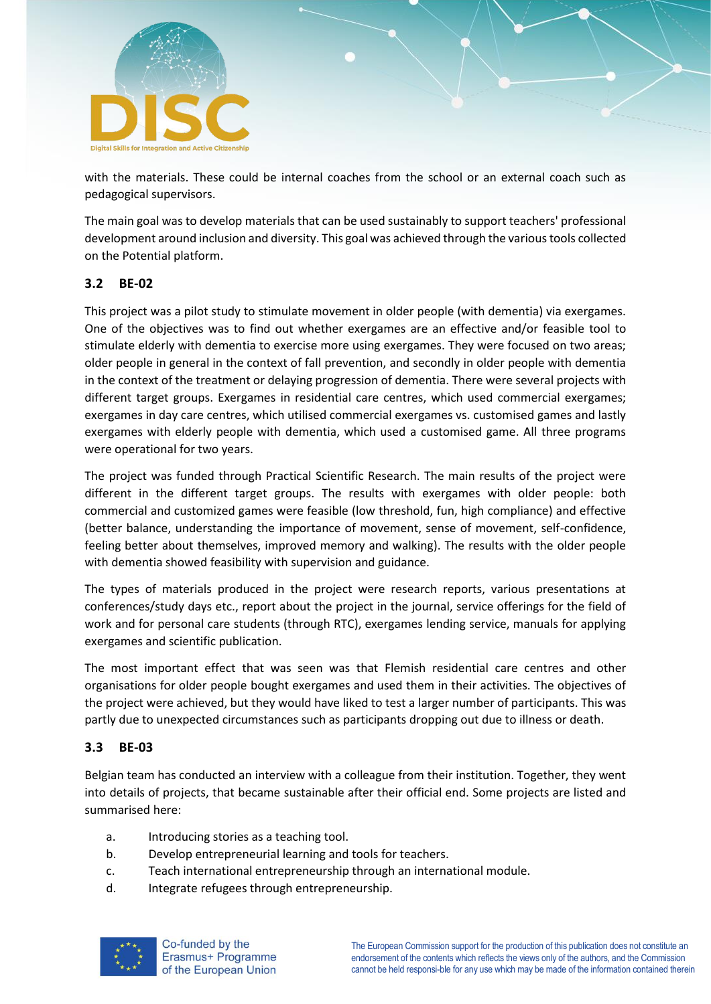

with the materials. These could be internal coaches from the school or an external coach such as pedagogical supervisors.

The main goal was to develop materials that can be used sustainably to support teachers' professional development around inclusion and diversity. This goal was achieved through the various tools collected on the Potential platform.

#### <span id="page-5-0"></span>**3.2 BE-02**

This project was a pilot study to stimulate movement in older people (with dementia) via exergames. One of the objectives was to find out whether exergames are an effective and/or feasible tool to stimulate elderly with dementia to exercise more using exergames. They were focused on two areas; older people in general in the context of fall prevention, and secondly in older people with dementia in the context of the treatment or delaying progression of dementia. There were several projects with different target groups. Exergames in residential care centres, which used commercial exergames; exergames in day care centres, which utilised commercial exergames vs. customised games and lastly exergames with elderly people with dementia, which used a customised game. All three programs were operational for two years.

The project was funded through Practical Scientific Research. The main results of the project were different in the different target groups. The results with exergames with older people: both commercial and customized games were feasible (low threshold, fun, high compliance) and effective (better balance, understanding the importance of movement, sense of movement, self-confidence, feeling better about themselves, improved memory and walking). The results with the older people with dementia showed feasibility with supervision and guidance.

The types of materials produced in the project were research reports, various presentations at conferences/study days etc., report about the project in the journal, service offerings for the field of work and for personal care students (through RTC), exergames lending service, manuals for applying exergames and scientific publication.

The most important effect that was seen was that Flemish residential care centres and other organisations for older people bought exergames and used them in their activities. The objectives of the project were achieved, but they would have liked to test a larger number of participants. This was partly due to unexpected circumstances such as participants dropping out due to illness or death.

#### <span id="page-5-1"></span>**3.3 BE-03**

Belgian team has conducted an interview with a colleague from their institution. Together, they went into details of projects, that became sustainable after their official end. Some projects are listed and summarised here:

- a. Introducing stories as a teaching tool.
- b. Develop entrepreneurial learning and tools for teachers.
- c. Teach international entrepreneurship through an international module.
- d. Integrate refugees through entrepreneurship.

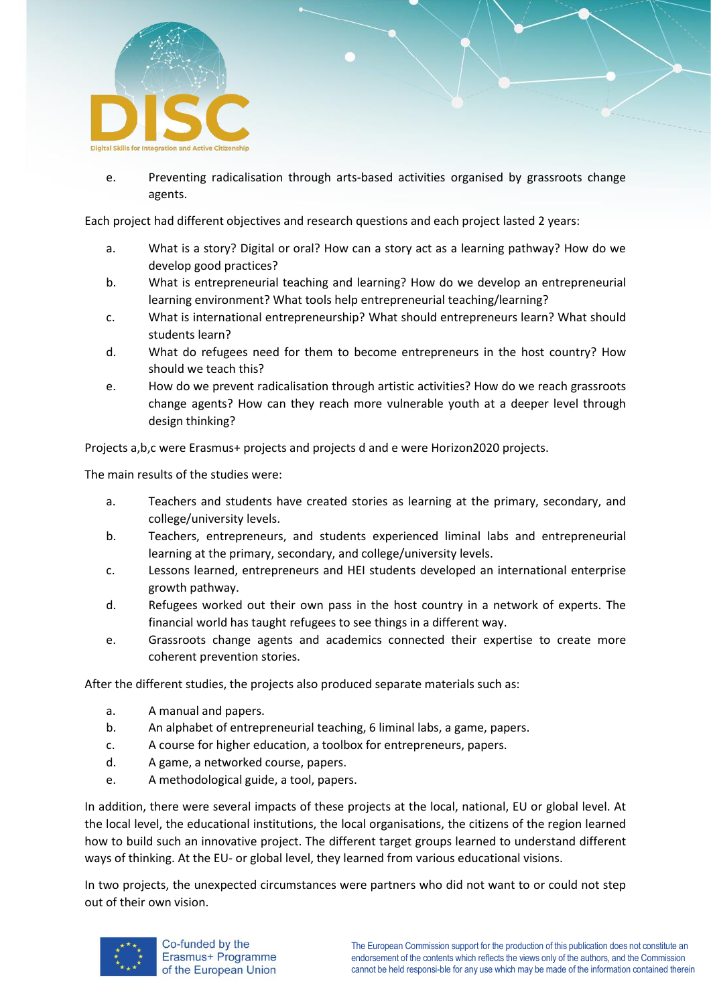

e. Preventing radicalisation through arts-based activities organised by grassroots change agents.

Each project had different objectives and research questions and each project lasted 2 years:

- a. What is a story? Digital or oral? How can a story act as a learning pathway? How do we develop good practices?
- b. What is entrepreneurial teaching and learning? How do we develop an entrepreneurial learning environment? What tools help entrepreneurial teaching/learning?
- c. What is international entrepreneurship? What should entrepreneurs learn? What should students learn?
- d. What do refugees need for them to become entrepreneurs in the host country? How should we teach this?
- e. How do we prevent radicalisation through artistic activities? How do we reach grassroots change agents? How can they reach more vulnerable youth at a deeper level through design thinking?

Projects a,b,c were Erasmus+ projects and projects d and e were Horizon2020 projects.

The main results of the studies were:

- a. Teachers and students have created stories as learning at the primary, secondary, and college/university levels.
- b. Teachers, entrepreneurs, and students experienced liminal labs and entrepreneurial learning at the primary, secondary, and college/university levels.
- c. Lessons learned, entrepreneurs and HEI students developed an international enterprise growth pathway.
- d. Refugees worked out their own pass in the host country in a network of experts. The financial world has taught refugees to see things in a different way.
- e. Grassroots change agents and academics connected their expertise to create more coherent prevention stories.

After the different studies, the projects also produced separate materials such as:

- a. A manual and papers.
- b. An alphabet of entrepreneurial teaching, 6 liminal labs, a game, papers.
- c. A course for higher education, a toolbox for entrepreneurs, papers.
- d. A game, a networked course, papers.
- e. A methodological guide, a tool, papers.

In addition, there were several impacts of these projects at the local, national, EU or global level. At the local level, the educational institutions, the local organisations, the citizens of the region learned how to build such an innovative project. The different target groups learned to understand different ways of thinking. At the EU- or global level, they learned from various educational visions.

In two projects, the unexpected circumstances were partners who did not want to or could not step out of their own vision.

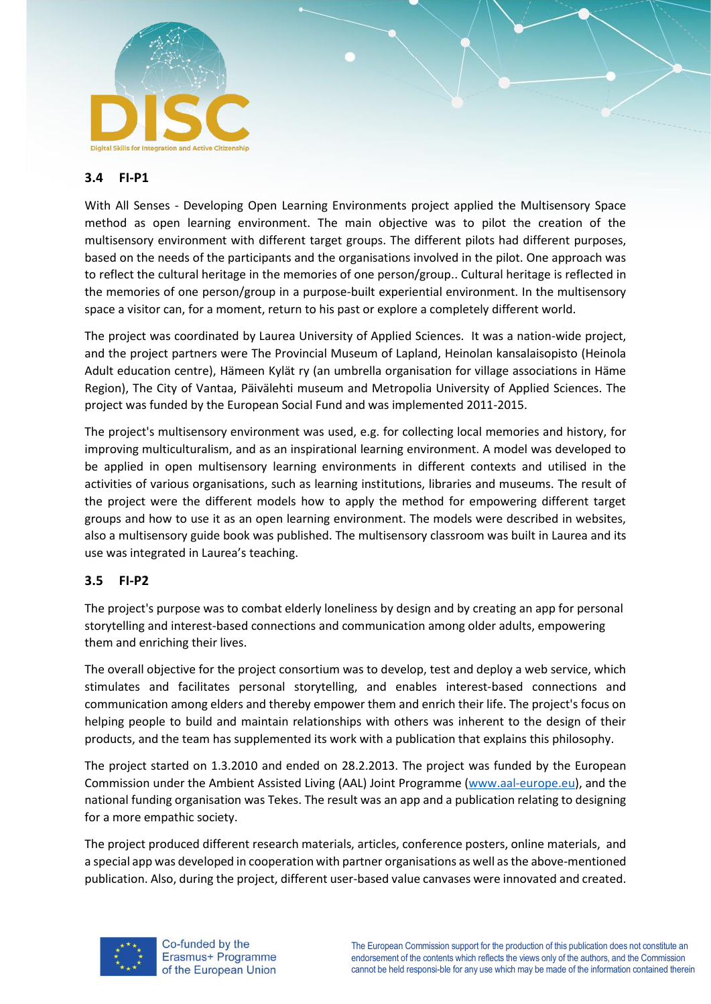

#### <span id="page-7-0"></span>**3.4 FI-P1**

With All Senses - Developing Open Learning Environments project applied the Multisensory Space method as open learning environment. The main objective was to pilot the creation of the multisensory environment with different target groups. The different pilots had different purposes, based on the needs of the participants and the organisations involved in the pilot. One approach was to reflect the cultural heritage in the memories of one person/group.. Cultural heritage is reflected in the memories of one person/group in a purpose-built experiential environment. In the multisensory space a visitor can, for a moment, return to his past or explore a completely different world.

The project was coordinated by Laurea University of Applied Sciences. It was a nation-wide project, and the project partners were The Provincial Museum of Lapland, Heinolan kansalaisopisto (Heinola Adult education centre), Hämeen Kylät ry (an umbrella organisation for village associations in Häme Region), The City of Vantaa, Päivälehti museum and Metropolia University of Applied Sciences. The project was funded by the European Social Fund and was implemented 2011-2015.

The project's multisensory environment was used, e.g. for collecting local memories and history, for improving multiculturalism, and as an inspirational learning environment. A model was developed to be applied in open multisensory learning environments in different contexts and utilised in the activities of various organisations, such as learning institutions, libraries and museums. The result of the project were the different models how to apply the method for empowering different target groups and how to use it as an open learning environment. The models were described in websites, also a multisensory guide book was published. The multisensory classroom was built in Laurea and its use was integrated in Laurea's teaching.

#### <span id="page-7-1"></span>**3.5 FI-P2**

The project's purpose was to combat elderly loneliness by design and by creating an app for personal storytelling and interest-based connections and communication among older adults, empowering them and enriching their lives.

The overall objective for the project consortium was to develop, test and deploy a web service, which stimulates and facilitates personal storytelling, and enables interest-based connections and communication among elders and thereby empower them and enrich their life. The project's focus on helping people to build and maintain relationships with others was inherent to the design of their products, and the team has supplemented its work with a publication that explains this philosophy.

The project started on 1.3.2010 and ended on 28.2.2013. The project was funded by the European Commission under the Ambient Assisted Living (AAL) Joint Programme [\(www.aal-europe.eu\)](http://www.aal-europe.eu/), and the national funding organisation was Tekes. The result was an app and a publication relating to designing for a more empathic society.

The project produced different research materials, articles, conference posters, online materials, and a special app was developed in cooperation with partner organisations as well as the above-mentioned publication. Also, during the project, different user-based value canvases were innovated and created.

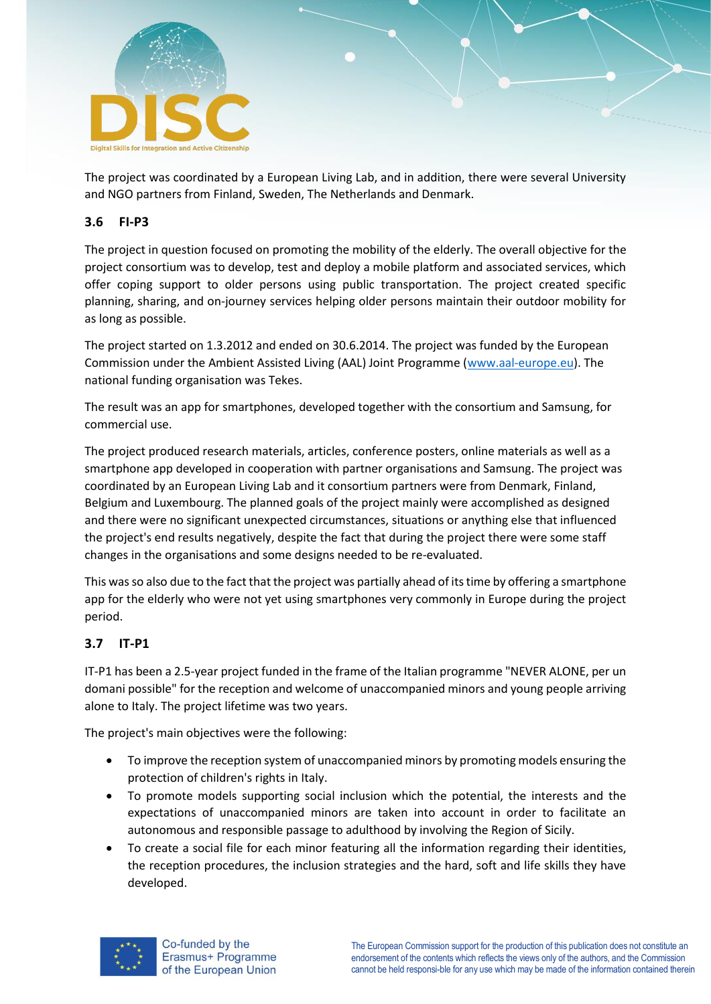

The project was coordinated by a European Living Lab, and in addition, there were several University and NGO partners from Finland, Sweden, The Netherlands and Denmark.

#### <span id="page-8-0"></span>**3.6 FI-P3**

The project in question focused on promoting the mobility of the elderly. The overall objective for the project consortium was to develop, test and deploy a mobile platform and associated services, which offer coping support to older persons using public transportation. The project created specific planning, sharing, and on-journey services helping older persons maintain their outdoor mobility for as long as possible.

The project started on 1.3.2012 and ended on 30.6.2014. The project was funded by the European Commission under the Ambient Assisted Living (AAL) Joint Programme [\(www.aal-europe.eu\)](http://www.aal-europe.eu/). The national funding organisation was Tekes.

The result was an app for smartphones, developed together with the consortium and Samsung, for commercial use.

The project produced research materials, articles, conference posters, online materials as well as a smartphone app developed in cooperation with partner organisations and Samsung. The project was coordinated by an European Living Lab and it consortium partners were from Denmark, Finland, Belgium and Luxembourg. The planned goals of the project mainly were accomplished as designed and there were no significant unexpected circumstances, situations or anything else that influenced the project's end results negatively, despite the fact that during the project there were some staff changes in the organisations and some designs needed to be re-evaluated.

This was so also due to the fact that the project was partially ahead of its time by offering a smartphone app for the elderly who were not yet using smartphones very commonly in Europe during the project period.

## <span id="page-8-1"></span>**3.7 IT-P1**

IT-P1 has been a 2.5-year project funded in the frame of the Italian programme "NEVER ALONE, per un domani possible" for the reception and welcome of unaccompanied minors and young people arriving alone to Italy. The project lifetime was two years.

The project's main objectives were the following:

- To improve the reception system of unaccompanied minors by promoting models ensuring the protection of children's rights in Italy.
- To promote models supporting social inclusion which the potential, the interests and the expectations of unaccompanied minors are taken into account in order to facilitate an autonomous and responsible passage to adulthood by involving the Region of Sicily.
- To create a social file for each minor featuring all the information regarding their identities, the reception procedures, the inclusion strategies and the hard, soft and life skills they have developed.

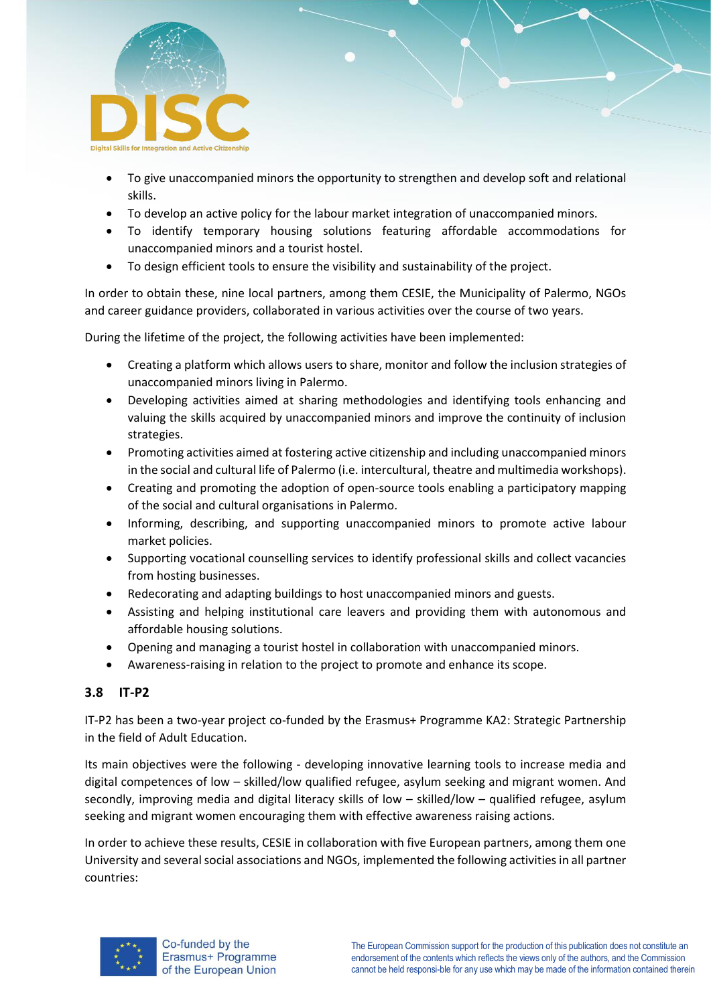

- To give unaccompanied minors the opportunity to strengthen and develop soft and relational skills.
- To develop an active policy for the labour market integration of unaccompanied minors.
- To identify temporary housing solutions featuring affordable accommodations for unaccompanied minors and a tourist hostel.
- To design efficient tools to ensure the visibility and sustainability of the project.

In order to obtain these, nine local partners, among them CESIE, the Municipality of Palermo, NGOs and career guidance providers, collaborated in various activities over the course of two years.

During the lifetime of the project, the following activities have been implemented:

- Creating a platform which allows users to share, monitor and follow the inclusion strategies of unaccompanied minors living in Palermo.
- Developing activities aimed at sharing methodologies and identifying tools enhancing and valuing the skills acquired by unaccompanied minors and improve the continuity of inclusion strategies.
- Promoting activities aimed at fostering active citizenship and including unaccompanied minors in the social and cultural life of Palermo (i.e. intercultural, theatre and multimedia workshops).
- Creating and promoting the adoption of open-source tools enabling a participatory mapping of the social and cultural organisations in Palermo.
- Informing, describing, and supporting unaccompanied minors to promote active labour market policies.
- Supporting vocational counselling services to identify professional skills and collect vacancies from hosting businesses.
- Redecorating and adapting buildings to host unaccompanied minors and guests.
- Assisting and helping institutional care leavers and providing them with autonomous and affordable housing solutions.
- Opening and managing a tourist hostel in collaboration with unaccompanied minors.
- Awareness-raising in relation to the project to promote and enhance its scope.

## <span id="page-9-0"></span>**3.8 IT-P2**

IT-P2 has been a two-year project co-funded by the Erasmus+ Programme KA2: Strategic Partnership in the field of Adult Education.

Its main objectives were the following - developing innovative learning tools to increase media and digital competences of low – skilled/low qualified refugee, asylum seeking and migrant women. And secondly, improving media and digital literacy skills of low – skilled/low – qualified refugee, asylum seeking and migrant women encouraging them with effective awareness raising actions.

In order to achieve these results, CESIE in collaboration with five European partners, among them one University and several social associations and NGOs, implemented the following activities in all partner countries:

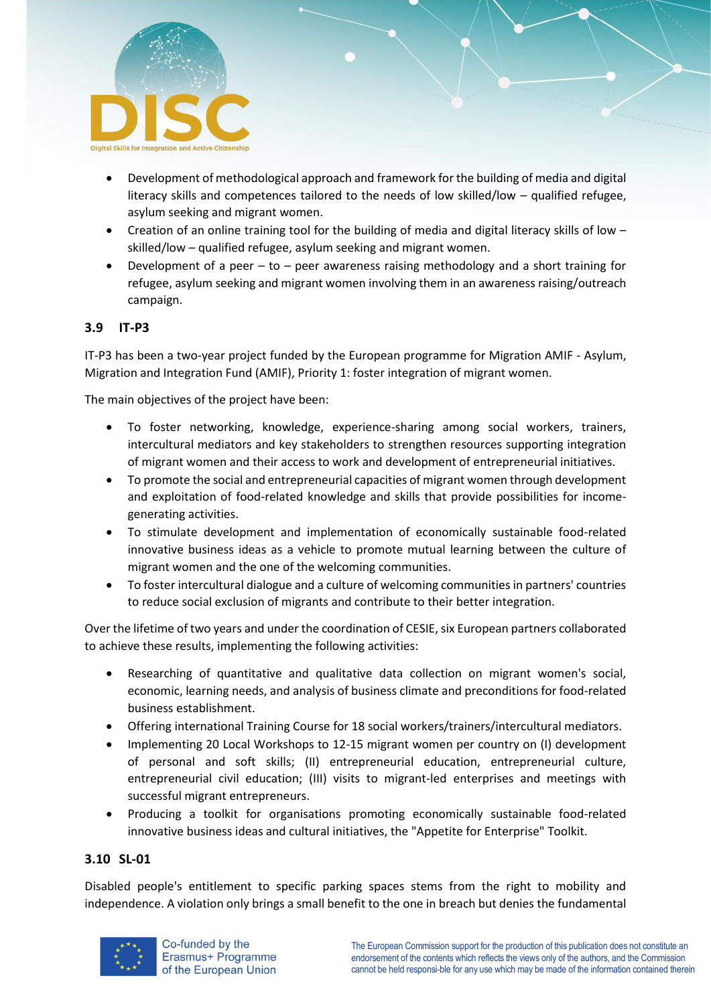

- Development of methodological approach and framework for the building of media and digital literacy skills and competences tailored to the needs of low skilled/low – qualified refugee, asylum seeking and migrant women.
- Creation of an online training tool for the building of media and digital literacy skills of low skilled/low – qualified refugee, asylum seeking and migrant women.
- Development of a peer to peer awareness raising methodology and a short training for refugee, asylum seeking and migrant women involving them in an awareness raising/outreach campaign.

## <span id="page-10-0"></span>**3.9 IT-P3**

IT-P3 has been a two-year project funded by the European programme for Migration AMIF - Asylum, Migration and Integration Fund (AMIF), Priority 1: foster integration of migrant women.

The main objectives of the project have been:

- To foster networking, knowledge, experience-sharing among social workers, trainers, intercultural mediators and key stakeholders to strengthen resources supporting integration of migrant women and their access to work and development of entrepreneurial initiatives.
- To promote the social and entrepreneurial capacities of migrant women through development and exploitation of food-related knowledge and skills that provide possibilities for incomegenerating activities.
- To stimulate development and implementation of economically sustainable food-related innovative business ideas as a vehicle to promote mutual learning between the culture of migrant women and the one of the welcoming communities.
- To foster intercultural dialogue and a culture of welcoming communities in partners' countries to reduce social exclusion of migrants and contribute to their better integration.

Over the lifetime of two years and under the coordination of CESIE, six European partners collaborated to achieve these results, implementing the following activities:

- Researching of quantitative and qualitative data collection on migrant women's social, economic, learning needs, and analysis of business climate and preconditions for food-related business establishment.
- Offering international Training Course for 18 social workers/trainers/intercultural mediators.
- Implementing 20 Local Workshops to 12-15 migrant women per country on (I) development of personal and soft skills; (II) entrepreneurial education, entrepreneurial culture, entrepreneurial civil education; (III) visits to migrant-led enterprises and meetings with successful migrant entrepreneurs.
- Producing a toolkit for organisations promoting economically sustainable food-related innovative business ideas and cultural initiatives, the "Appetite for Enterprise" Toolkit.

#### <span id="page-10-1"></span>**3.10 SL-01**

Disabled people's entitlement to specific parking spaces stems from the right to mobility and independence. A violation only brings a small benefit to the one in breach but denies the fundamental

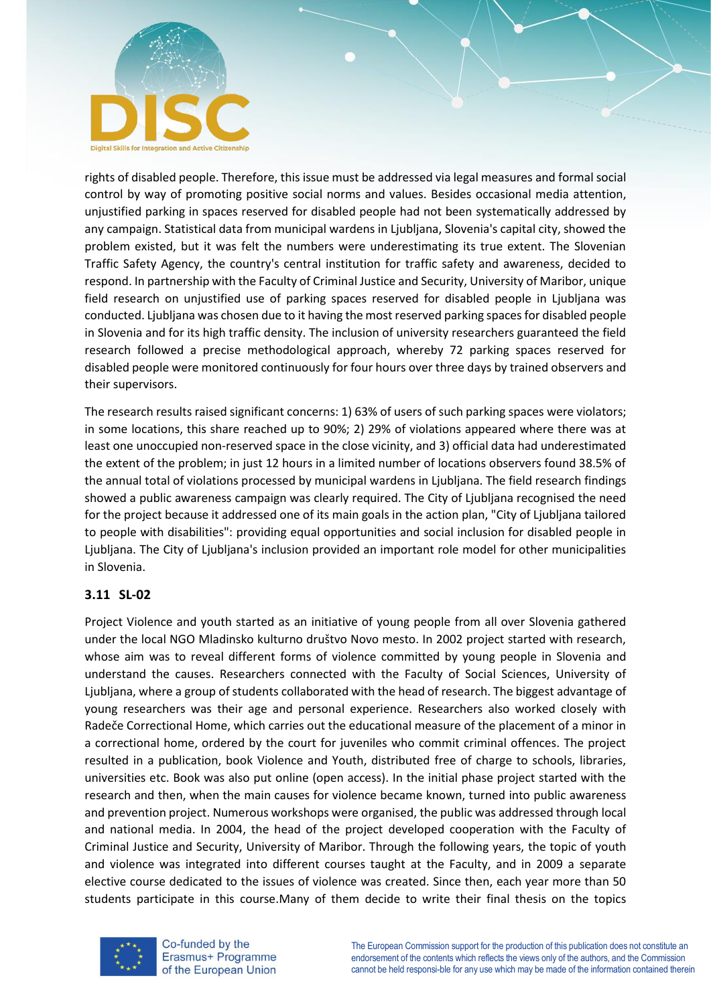

rights of disabled people. Therefore, this issue must be addressed via legal measures and formal social control by way of promoting positive social norms and values. Besides occasional media attention, unjustified parking in spaces reserved for disabled people had not been systematically addressed by any campaign. Statistical data from municipal wardens in Ljubljana, Slovenia's capital city, showed the problem existed, but it was felt the numbers were underestimating its true extent. The Slovenian Traffic Safety Agency, the country's central institution for traffic safety and awareness, decided to respond. In partnership with the Faculty of Criminal Justice and Security, University of Maribor, unique field research on unjustified use of parking spaces reserved for disabled people in Ljubljana was conducted. Ljubljana was chosen due to it having the most reserved parking spaces for disabled people in Slovenia and for its high traffic density. The inclusion of university researchers guaranteed the field research followed a precise methodological approach, whereby 72 parking spaces reserved for disabled people were monitored continuously for four hours over three days by trained observers and their supervisors.

The research results raised significant concerns: 1) 63% of users of such parking spaces were violators; in some locations, this share reached up to 90%; 2) 29% of violations appeared where there was at least one unoccupied non-reserved space in the close vicinity, and 3) official data had underestimated the extent of the problem; in just 12 hours in a limited number of locations observers found 38.5% of the annual total of violations processed by municipal wardens in Ljubljana. The field research findings showed a public awareness campaign was clearly required. The City of Ljubljana recognised the need for the project because it addressed one of its main goals in the action plan, "City of Ljubljana tailored to people with disabilities": providing equal opportunities and social inclusion for disabled people in Ljubljana. The City of Ljubljana's inclusion provided an important role model for other municipalities in Slovenia.

## <span id="page-11-0"></span>**3.11 SL-02**

Project Violence and youth started as an initiative of young people from all over Slovenia gathered under the local NGO Mladinsko kulturno društvo Novo mesto. In 2002 project started with research, whose aim was to reveal different forms of violence committed by young people in Slovenia and understand the causes. Researchers connected with the Faculty of Social Sciences, University of Ljubljana, where a group of students collaborated with the head of research. The biggest advantage of young researchers was their age and personal experience. Researchers also worked closely with Radeče Correctional Home, which carries out the educational measure of the placement of a minor in a correctional home, ordered by the court for juveniles who commit criminal offences. The project resulted in a publication, book Violence and Youth, distributed free of charge to schools, libraries, universities etc. Book was also put online (open access). In the initial phase project started with the research and then, when the main causes for violence became known, turned into public awareness and prevention project. Numerous workshops were organised, the public was addressed through local and national media. In 2004, the head of the project developed cooperation with the Faculty of Criminal Justice and Security, University of Maribor. Through the following years, the topic of youth and violence was integrated into different courses taught at the Faculty, and in 2009 a separate elective course dedicated to the issues of violence was created. Since then, each year more than 50 students participate in this course.Many of them decide to write their final thesis on the topics



Co-funded by the Erasmus+ Programme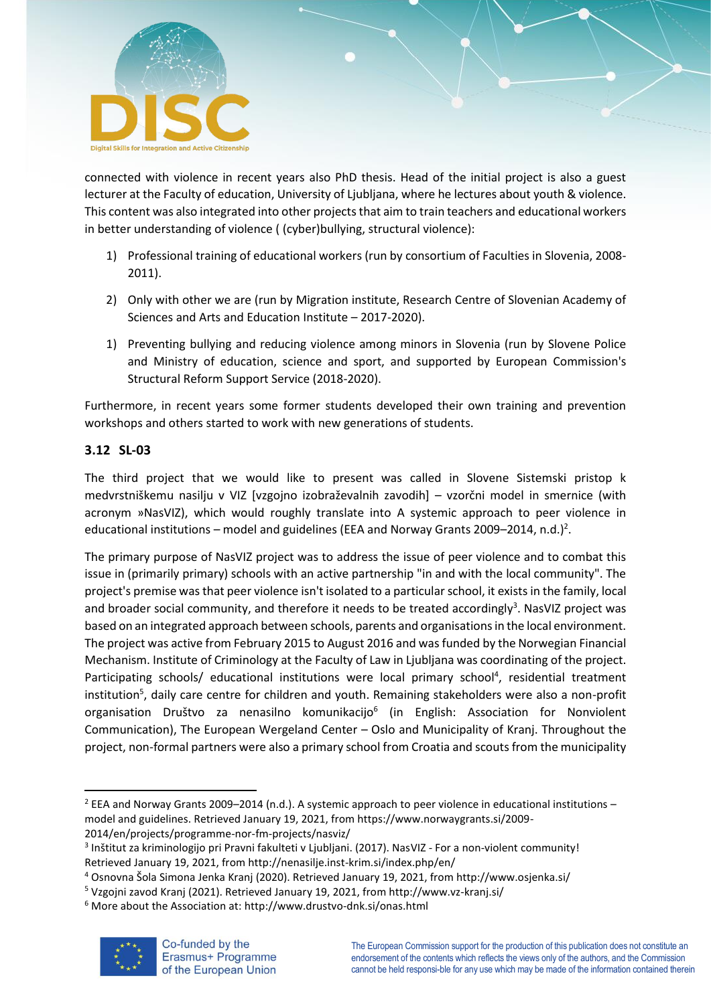

connected with violence in recent years also PhD thesis. Head of the initial project is also a guest lecturer at the Faculty of education, University of Ljubljana, where he lectures about youth & violence. This content was also integrated into other projects that aim to train teachers and educational workers in better understanding of violence ( (cyber)bullying, structural violence):

- 1) Professional training of educational workers (run by consortium of Faculties in Slovenia, 2008- 2011).
- 2) Only with other we are (run by Migration institute, Research Centre of Slovenian Academy of Sciences and Arts and Education Institute – 2017-2020).
- 1) Preventing bullying and reducing violence among minors in Slovenia (run by Slovene Police and Ministry of education, science and sport, and supported by European Commission's Structural Reform Support Service (2018-2020).

Furthermore, in recent years some former students developed their own training and prevention workshops and others started to work with new generations of students.

## <span id="page-12-0"></span>**3.12 SL-03**

The third project that we would like to present was called in Slovene Sistemski pristop k medvrstniškemu nasilju v VIZ [vzgojno izobraževalnih zavodih] – vzorčni model in smernice (with acronym »NasVIZ), which would roughly translate into A systemic approach to peer violence in educational institutions – model and guidelines (EEA and Norway Grants 2009–2014, n.d.)<sup>2</sup>.

The primary purpose of NasVIZ project was to address the issue of peer violence and to combat this issue in (primarily primary) schools with an active partnership "in and with the local community". The project's premise was that peer violence isn't isolated to a particular school, it exists in the family, local and broader social community, and therefore it needs to be treated accordingly<sup>3</sup>. NasVIZ project was based on an integrated approach between schools, parents and organisations in the local environment. The project was active from February 2015 to August 2016 and was funded by the Norwegian Financial Mechanism. Institute of Criminology at the Faculty of Law in Ljubljana was coordinating of the project. Participating schools/ educational institutions were local primary school<sup>4</sup>, residential treatment institution<sup>5</sup>, daily care centre for children and youth. Remaining stakeholders were also a non-profit organisation Društvo za nenasilno komunikacijo<sup>6</sup> (in English: Association for Nonviolent Communication), The European Wergeland Center – Oslo and Municipality of Kranj. Throughout the project, non-formal partners were also a primary school from Croatia and scouts from the municipality

2014/en/projects/programme-nor-fm-projects/nasviz/

<sup>6</sup> More about the Association at: http://www.drustvo-dnk.si/onas.html



<sup>2</sup> EEA and Norway Grants 2009–2014 (n.d.). A systemic approach to peer violence in educational institutions – model and guidelines. Retrieved January 19, 2021, from https://www.norwaygrants.si/2009-

<sup>&</sup>lt;sup>3</sup> Inštitut za kriminologijo pri Pravni fakulteti v Ljubljani. (2017). NasVIZ - For a non-violent community! Retrieved January 19, 2021, from http://nenasilje.inst-krim.si/index.php/en/

<sup>4</sup> Osnovna Šola Simona Jenka Kranj (2020). Retrieved January 19, 2021, from http://www.osjenka.si/

<sup>5</sup> Vzgojni zavod Kranj (2021). Retrieved January 19, 2021, from http://www.vz-kranj.si/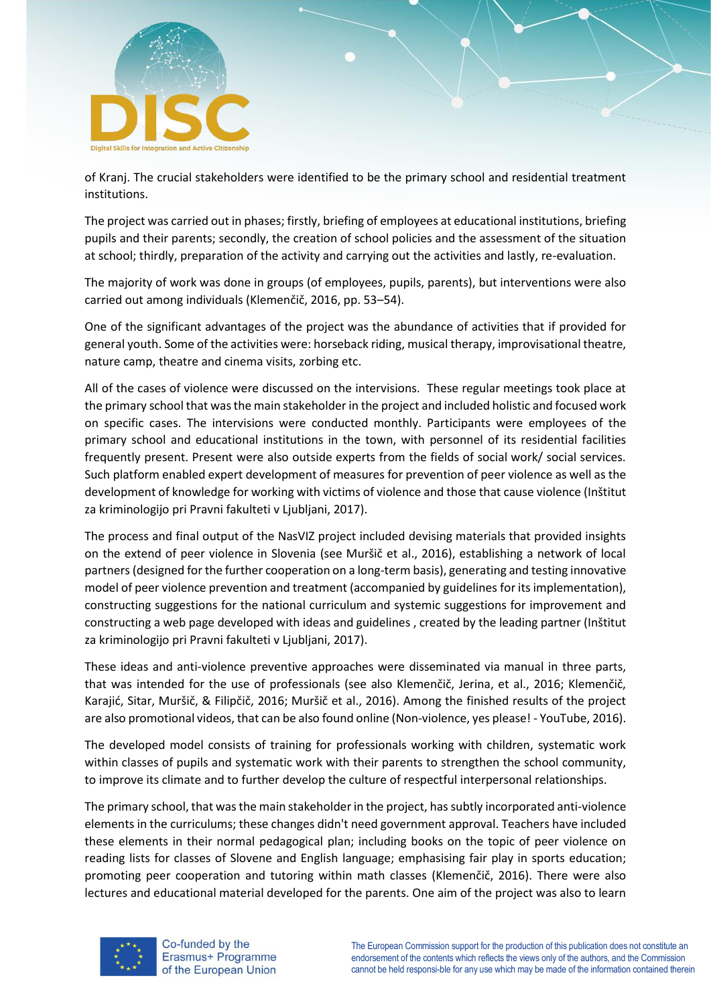

of Kranj. The crucial stakeholders were identified to be the primary school and residential treatment institutions.

The project was carried out in phases; firstly, briefing of employees at educational institutions, briefing pupils and their parents; secondly, the creation of school policies and the assessment of the situation at school; thirdly, preparation of the activity and carrying out the activities and lastly, re-evaluation.

The majority of work was done in groups (of employees, pupils, parents), but interventions were also carried out among individuals (Klemenčič, 2016, pp. 53–54).

One of the significant advantages of the project was the abundance of activities that if provided for general youth. Some of the activities were: horseback riding, musical therapy, improvisational theatre, nature camp, theatre and cinema visits, zorbing etc.

All of the cases of violence were discussed on the intervisions. These regular meetings took place at the primary school that was the main stakeholder in the project and included holistic and focused work on specific cases. The intervisions were conducted monthly. Participants were employees of the primary school and educational institutions in the town, with personnel of its residential facilities frequently present. Present were also outside experts from the fields of social work/ social services. Such platform enabled expert development of measures for prevention of peer violence as well as the development of knowledge for working with victims of violence and those that cause violence (Inštitut za kriminologijo pri Pravni fakulteti v Ljubljani, 2017).

The process and final output of the NasVIZ project included devising materials that provided insights on the extend of peer violence in Slovenia (see Muršič et al., 2016), establishing a network of local partners (designed for the further cooperation on a long-term basis), generating and testing innovative model of peer violence prevention and treatment (accompanied by guidelines for its implementation), constructing suggestions for the national curriculum and systemic suggestions for improvement and constructing a web page developed with ideas and guidelines , created by the leading partner (Inštitut za kriminologijo pri Pravni fakulteti v Ljubljani, 2017).

These ideas and anti-violence preventive approaches were disseminated via manual in three parts, that was intended for the use of professionals (see also Klemenčič, Jerina, et al., 2016; Klemenčič, Karajić, Sitar, Muršič, & Filipčič, 2016; Muršič et al., 2016). Among the finished results of the project are also promotional videos, that can be also found online (Non-violence, yes please! - YouTube, 2016).

The developed model consists of training for professionals working with children, systematic work within classes of pupils and systematic work with their parents to strengthen the school community, to improve its climate and to further develop the culture of respectful interpersonal relationships.

The primary school, that was the main stakeholder in the project, has subtly incorporated anti-violence elements in the curriculums; these changes didn't need government approval. Teachers have included these elements in their normal pedagogical plan; including books on the topic of peer violence on reading lists for classes of Slovene and English language; emphasising fair play in sports education; promoting peer cooperation and tutoring within math classes (Klemenčič, 2016). There were also lectures and educational material developed for the parents. One aim of the project was also to learn

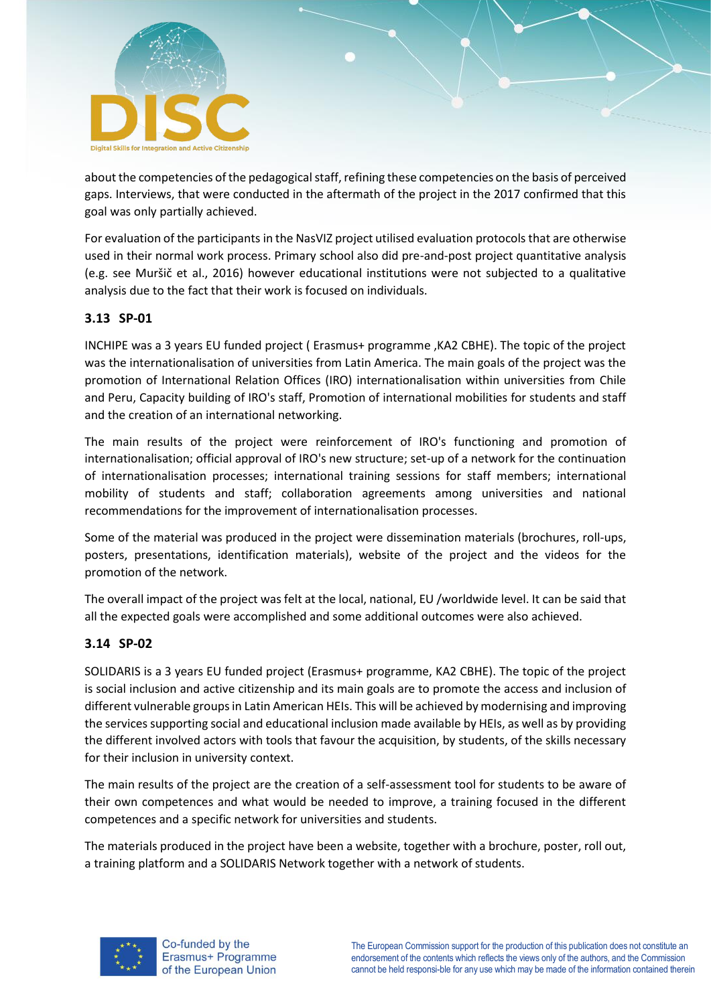

about the competencies of the pedagogical staff, refining these competencies on the basis of perceived gaps. Interviews, that were conducted in the aftermath of the project in the 2017 confirmed that this goal was only partially achieved.

For evaluation of the participants in the NasVIZ project utilised evaluation protocols that are otherwise used in their normal work process. Primary school also did pre-and-post project quantitative analysis (e.g. see Muršič et al., 2016) however educational institutions were not subjected to a qualitative analysis due to the fact that their work is focused on individuals.

#### <span id="page-14-0"></span>**3.13 SP-01**

INCHIPE was a 3 years EU funded project ( Erasmus+ programme ,KA2 CBHE). The topic of the project was the internationalisation of universities from Latin America. The main goals of the project was the promotion of International Relation Offices (IRO) internationalisation within universities from Chile and Peru, Capacity building of IRO's staff, Promotion of international mobilities for students and staff and the creation of an international networking.

The main results of the project were reinforcement of IRO's functioning and promotion of internationalisation; official approval of IRO's new structure; set-up of a network for the continuation of internationalisation processes; international training sessions for staff members; international mobility of students and staff; collaboration agreements among universities and national recommendations for the improvement of internationalisation processes.

Some of the material was produced in the project were dissemination materials (brochures, roll-ups, posters, presentations, identification materials), website of the project and the videos for the promotion of the network.

The overall impact of the project was felt at the local, national, EU /worldwide level. It can be said that all the expected goals were accomplished and some additional outcomes were also achieved.

#### <span id="page-14-1"></span>**3.14 SP-02**

SOLIDARIS is a 3 years EU funded project (Erasmus+ programme, KA2 CBHE). The topic of the project is social inclusion and active citizenship and its main goals are to promote the access and inclusion of different vulnerable groups in Latin American HEIs. This will be achieved by modernising and improving the services supporting social and educational inclusion made available by HEIs, as well as by providing the different involved actors with tools that favour the acquisition, by students, of the skills necessary for their inclusion in university context.

The main results of the project are the creation of a self-assessment tool for students to be aware of their own competences and what would be needed to improve, a training focused in the different competences and a specific network for universities and students.

The materials produced in the project have been a website, together with a brochure, poster, roll out, a training platform and a SOLIDARIS Network together with a network of students.

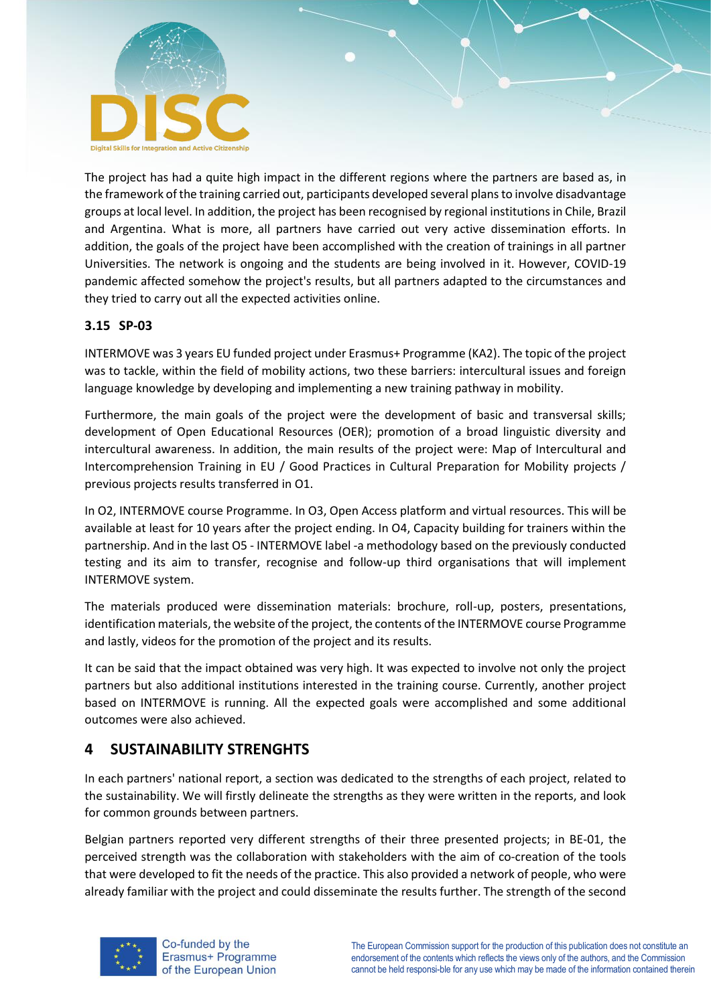

The project has had a quite high impact in the different regions where the partners are based as, in the framework of the training carried out, participants developed several plans to involve disadvantage groups at local level. In addition, the project has been recognised by regional institutions in Chile, Brazil and Argentina. What is more, all partners have carried out very active dissemination efforts. In addition, the goals of the project have been accomplished with the creation of trainings in all partner Universities. The network is ongoing and the students are being involved in it. However, COVID-19 pandemic affected somehow the project's results, but all partners adapted to the circumstances and they tried to carry out all the expected activities online.

## <span id="page-15-0"></span>**3.15 SP-03**

INTERMOVE was 3 years EU funded project under Erasmus+ Programme (KA2). The topic of the project was to tackle, within the field of mobility actions, two these barriers: intercultural issues and foreign language knowledge by developing and implementing a new training pathway in mobility.

Furthermore, the main goals of the project were the development of basic and transversal skills; development of Open Educational Resources (OER); promotion of a broad linguistic diversity and intercultural awareness. In addition, the main results of the project were: Map of Intercultural and Intercomprehension Training in EU / Good Practices in Cultural Preparation for Mobility projects / previous projects results transferred in O1.

In O2, INTERMOVE course Programme. In O3, Open Access platform and virtual resources. This will be available at least for 10 years after the project ending. In O4, Capacity building for trainers within the partnership. And in the last O5 - INTERMOVE label -a methodology based on the previously conducted testing and its aim to transfer, recognise and follow-up third organisations that will implement INTERMOVE system.

The materials produced were dissemination materials: brochure, roll-up, posters, presentations, identification materials, the website of the project, the contents of the INTERMOVE course Programme and lastly, videos for the promotion of the project and its results.

It can be said that the impact obtained was very high. It was expected to involve not only the project partners but also additional institutions interested in the training course. Currently, another project based on INTERMOVE is running. All the expected goals were accomplished and some additional outcomes were also achieved.

## <span id="page-15-1"></span>**4 SUSTAINABILITY STRENGHTS**

In each partners' national report, a section was dedicated to the strengths of each project, related to the sustainability. We will firstly delineate the strengths as they were written in the reports, and look for common grounds between partners.

Belgian partners reported very different strengths of their three presented projects; in BE-01, the perceived strength was the collaboration with stakeholders with the aim of co-creation of the tools that were developed to fit the needs of the practice. This also provided a network of people, who were already familiar with the project and could disseminate the results further. The strength of the second

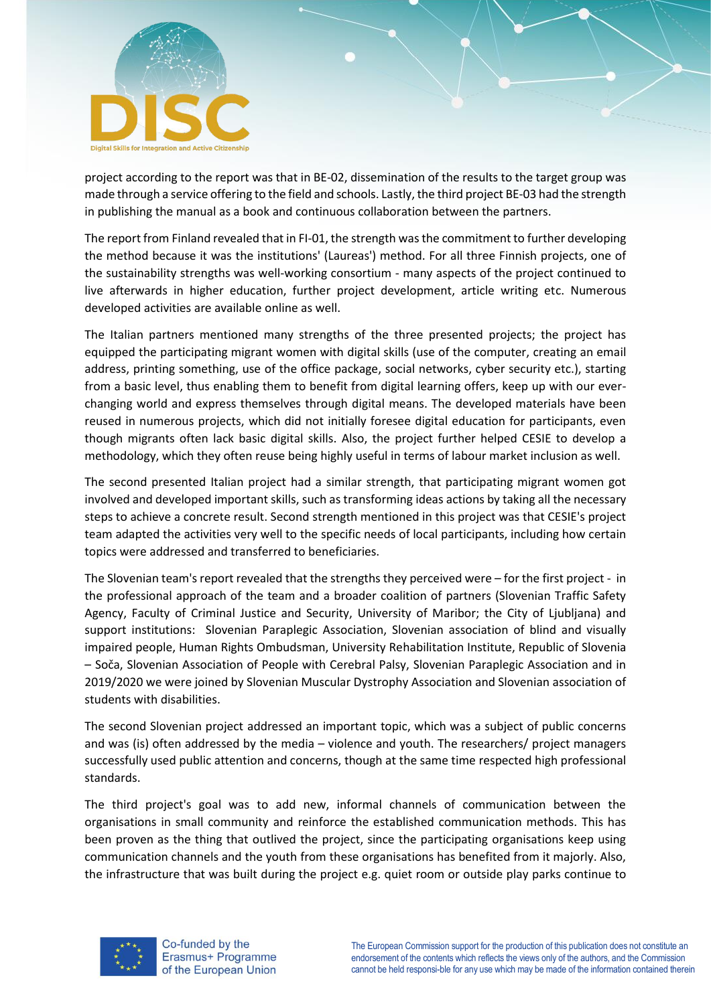

project according to the report was that in BE-02, dissemination of the results to the target group was made through a service offering to the field and schools. Lastly, the third project BE-03 had the strength in publishing the manual as a book and continuous collaboration between the partners.

The report from Finland revealed that in FI-01, the strength was the commitment to further developing the method because it was the institutions' (Laureas') method. For all three Finnish projects, one of the sustainability strengths was well-working consortium - many aspects of the project continued to live afterwards in higher education, further project development, article writing etc. Numerous developed activities are available online as well.

The Italian partners mentioned many strengths of the three presented projects; the project has equipped the participating migrant women with digital skills (use of the computer, creating an email address, printing something, use of the office package, social networks, cyber security etc.), starting from a basic level, thus enabling them to benefit from digital learning offers, keep up with our everchanging world and express themselves through digital means. The developed materials have been reused in numerous projects, which did not initially foresee digital education for participants, even though migrants often lack basic digital skills. Also, the project further helped CESIE to develop a methodology, which they often reuse being highly useful in terms of labour market inclusion as well.

The second presented Italian project had a similar strength, that participating migrant women got involved and developed important skills, such as transforming ideas actions by taking all the necessary steps to achieve a concrete result. Second strength mentioned in this project was that CESIE's project team adapted the activities very well to the specific needs of local participants, including how certain topics were addressed and transferred to beneficiaries.

The Slovenian team's report revealed that the strengths they perceived were – for the first project - in the professional approach of the team and a broader coalition of partners (Slovenian Traffic Safety Agency, Faculty of Criminal Justice and Security, University of Maribor; the City of Ljubljana) and support institutions: Slovenian Paraplegic Association, Slovenian association of blind and visually impaired people, Human Rights Ombudsman, University Rehabilitation Institute, Republic of Slovenia – Soča, Slovenian Association of People with Cerebral Palsy, Slovenian Paraplegic Association and in 2019/2020 we were joined by Slovenian Muscular Dystrophy Association and Slovenian association of students with disabilities.

The second Slovenian project addressed an important topic, which was a subject of public concerns and was (is) often addressed by the media – violence and youth. The researchers/ project managers successfully used public attention and concerns, though at the same time respected high professional standards.

The third project's goal was to add new, informal channels of communication between the organisations in small community and reinforce the established communication methods. This has been proven as the thing that outlived the project, since the participating organisations keep using communication channels and the youth from these organisations has benefited from it majorly. Also, the infrastructure that was built during the project e.g. quiet room or outside play parks continue to

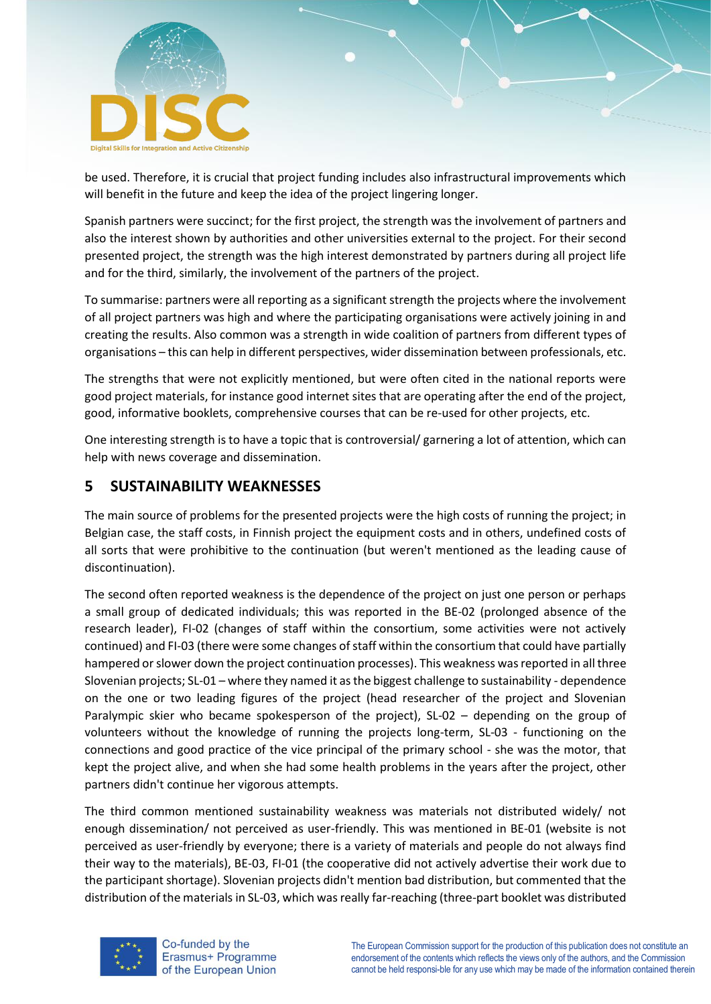

be used. Therefore, it is crucial that project funding includes also infrastructural improvements which will benefit in the future and keep the idea of the project lingering longer.

Spanish partners were succinct; for the first project, the strength was the involvement of partners and also the interest shown by authorities and other universities external to the project. For their second presented project, the strength was the high interest demonstrated by partners during all project life and for the third, similarly, the involvement of the partners of the project.

To summarise: partners were all reporting as a significant strength the projects where the involvement of all project partners was high and where the participating organisations were actively joining in and creating the results. Also common was a strength in wide coalition of partners from different types of organisations – this can help in different perspectives, wider dissemination between professionals, etc.

The strengths that were not explicitly mentioned, but were often cited in the national reports were good project materials, for instance good internet sites that are operating after the end of the project, good, informative booklets, comprehensive courses that can be re-used for other projects, etc.

One interesting strength is to have a topic that is controversial/ garnering a lot of attention, which can help with news coverage and dissemination.

## <span id="page-17-0"></span>**5 SUSTAINABILITY WEAKNESSES**

The main source of problems for the presented projects were the high costs of running the project; in Belgian case, the staff costs, in Finnish project the equipment costs and in others, undefined costs of all sorts that were prohibitive to the continuation (but weren't mentioned as the leading cause of discontinuation).

The second often reported weakness is the dependence of the project on just one person or perhaps a small group of dedicated individuals; this was reported in the BE-02 (prolonged absence of the research leader), FI-02 (changes of staff within the consortium, some activities were not actively continued) and FI-03 (there were some changes of staff within the consortium that could have partially hampered or slower down the project continuation processes). This weakness was reported in all three Slovenian projects; SL-01 – where they named it as the biggest challenge to sustainability - dependence on the one or two leading figures of the project (head researcher of the project and Slovenian Paralympic skier who became spokesperson of the project), SL-02 – depending on the group of volunteers without the knowledge of running the projects long-term, SL-03 - functioning on the connections and good practice of the vice principal of the primary school - she was the motor, that kept the project alive, and when she had some health problems in the years after the project, other partners didn't continue her vigorous attempts.

The third common mentioned sustainability weakness was materials not distributed widely/ not enough dissemination/ not perceived as user-friendly. This was mentioned in BE-01 (website is not perceived as user-friendly by everyone; there is a variety of materials and people do not always find their way to the materials), BE-03, FI-01 (the cooperative did not actively advertise their work due to the participant shortage). Slovenian projects didn't mention bad distribution, but commented that the distribution of the materials in SL-03, which was really far-reaching (three-part booklet was distributed



Co-funded by the Erasmus+ Programme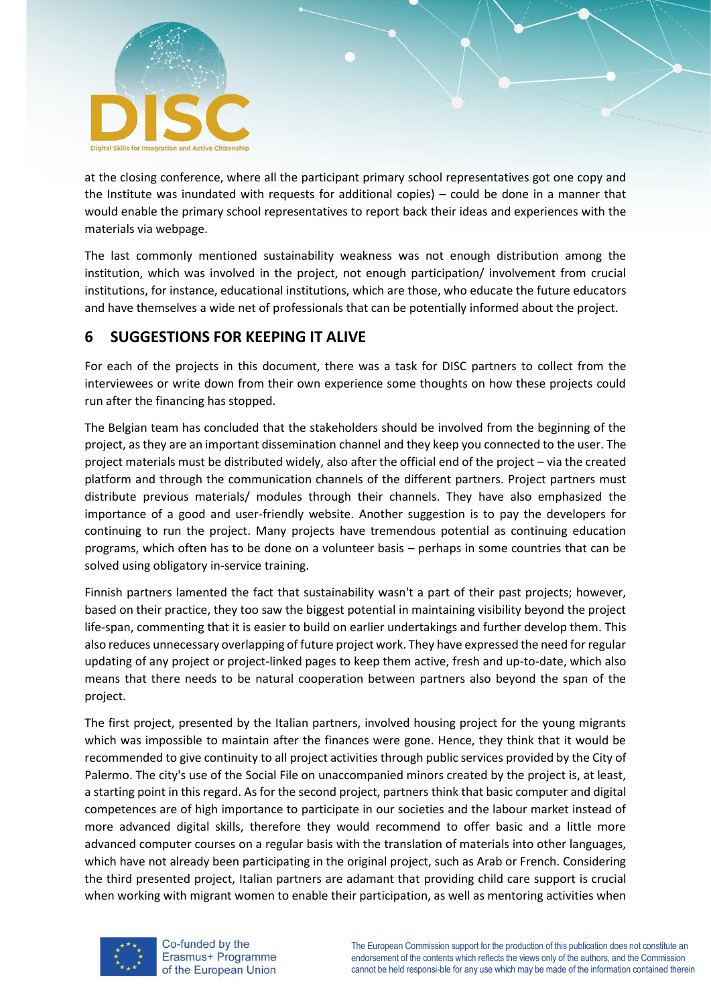

at the closing conference, where all the participant primary school representatives got one copy and the Institute was inundated with requests for additional copies) – could be done in a manner that would enable the primary school representatives to report back their ideas and experiences with the materials via webpage.

The last commonly mentioned sustainability weakness was not enough distribution among the institution, which was involved in the project, not enough participation/ involvement from crucial institutions, for instance, educational institutions, which are those, who educate the future educators and have themselves a wide net of professionals that can be potentially informed about the project.

# <span id="page-18-0"></span>**6 SUGGESTIONS FOR KEEPING IT ALIVE**

For each of the projects in this document, there was a task for DISC partners to collect from the interviewees or write down from their own experience some thoughts on how these projects could run after the financing has stopped.

The Belgian team has concluded that the stakeholders should be involved from the beginning of the project, as they are an important dissemination channel and they keep you connected to the user. The project materials must be distributed widely, also after the official end of the project – via the created platform and through the communication channels of the different partners. Project partners must distribute previous materials/ modules through their channels. They have also emphasized the importance of a good and user-friendly website. Another suggestion is to pay the developers for continuing to run the project. Many projects have tremendous potential as continuing education programs, which often has to be done on a volunteer basis – perhaps in some countries that can be solved using obligatory in-service training.

Finnish partners lamented the fact that sustainability wasn't a part of their past projects; however, based on their practice, they too saw the biggest potential in maintaining visibility beyond the project life-span, commenting that it is easier to build on earlier undertakings and further develop them. This also reduces unnecessary overlapping of future project work. They have expressed the need for regular updating of any project or project-linked pages to keep them active, fresh and up-to-date, which also means that there needs to be natural cooperation between partners also beyond the span of the project.

The first project, presented by the Italian partners, involved housing project for the young migrants which was impossible to maintain after the finances were gone. Hence, they think that it would be recommended to give continuity to all project activities through public services provided by the City of Palermo. The city's use of the Social File on unaccompanied minors created by the project is, at least, a starting point in this regard. As for the second project, partners think that basic computer and digital competences are of high importance to participate in our societies and the labour market instead of more advanced digital skills, therefore they would recommend to offer basic and a little more advanced computer courses on a regular basis with the translation of materials into other languages, which have not already been participating in the original project, such as Arab or French. Considering the third presented project, Italian partners are adamant that providing child care support is crucial when working with migrant women to enable their participation, as well as mentoring activities when



Co-funded by the Erasmus+ Programme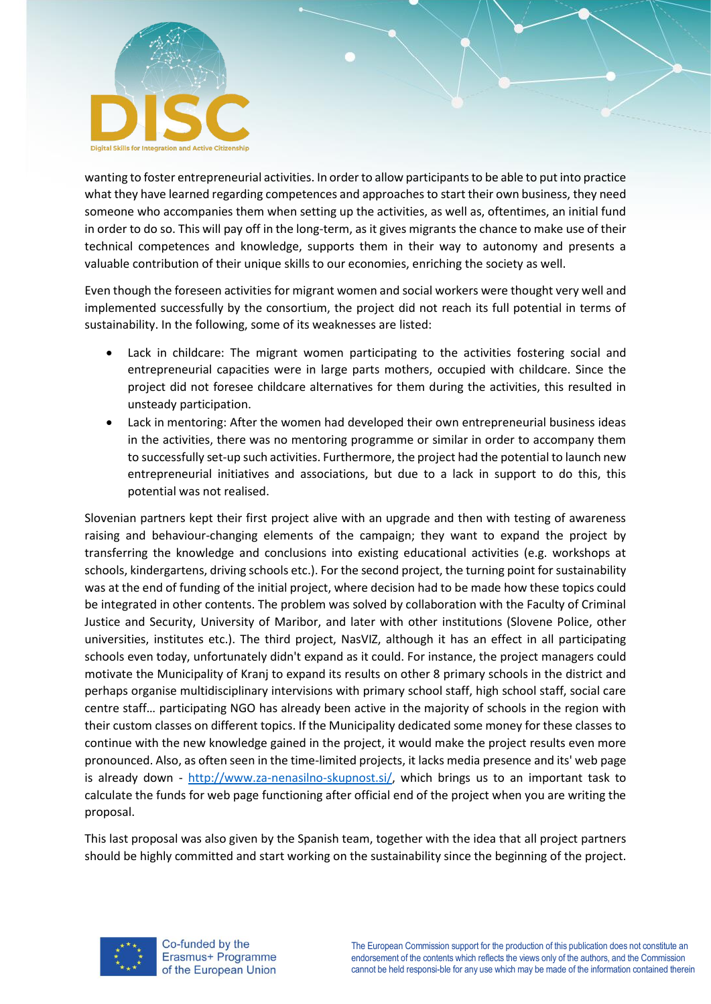

wanting to foster entrepreneurial activities. In order to allow participants to be able to put into practice what they have learned regarding competences and approaches to start their own business, they need someone who accompanies them when setting up the activities, as well as, oftentimes, an initial fund in order to do so. This will pay off in the long-term, as it gives migrants the chance to make use of their technical competences and knowledge, supports them in their way to autonomy and presents a valuable contribution of their unique skills to our economies, enriching the society as well.

Even though the foreseen activities for migrant women and social workers were thought very well and implemented successfully by the consortium, the project did not reach its full potential in terms of sustainability. In the following, some of its weaknesses are listed:

- Lack in childcare: The migrant women participating to the activities fostering social and entrepreneurial capacities were in large parts mothers, occupied with childcare. Since the project did not foresee childcare alternatives for them during the activities, this resulted in unsteady participation.
- Lack in mentoring: After the women had developed their own entrepreneurial business ideas in the activities, there was no mentoring programme or similar in order to accompany them to successfully set-up such activities. Furthermore, the project had the potential to launch new entrepreneurial initiatives and associations, but due to a lack in support to do this, this potential was not realised.

Slovenian partners kept their first project alive with an upgrade and then with testing of awareness raising and behaviour-changing elements of the campaign; they want to expand the project by transferring the knowledge and conclusions into existing educational activities (e.g. workshops at schools, kindergartens, driving schools etc.). For the second project, the turning point for sustainability was at the end of funding of the initial project, where decision had to be made how these topics could be integrated in other contents. The problem was solved by collaboration with the Faculty of Criminal Justice and Security, University of Maribor, and later with other institutions (Slovene Police, other universities, institutes etc.). The third project, NasVIZ, although it has an effect in all participating schools even today, unfortunately didn't expand as it could. For instance, the project managers could motivate the Municipality of Kranj to expand its results on other 8 primary schools in the district and perhaps organise multidisciplinary intervisions with primary school staff, high school staff, social care centre staff… participating NGO has already been active in the majority of schools in the region with their custom classes on different topics. If the Municipality dedicated some money for these classes to continue with the new knowledge gained in the project, it would make the project results even more pronounced. Also, as often seen in the time-limited projects, it lacks media presence and its' web page is already down - [http://www.za-nenasilno-skupnost.si/,](http://www.za-nenasilno-skupnost.si/) which brings us to an important task to calculate the funds for web page functioning after official end of the project when you are writing the proposal.

This last proposal was also given by the Spanish team, together with the idea that all project partners should be highly committed and start working on the sustainability since the beginning of the project.

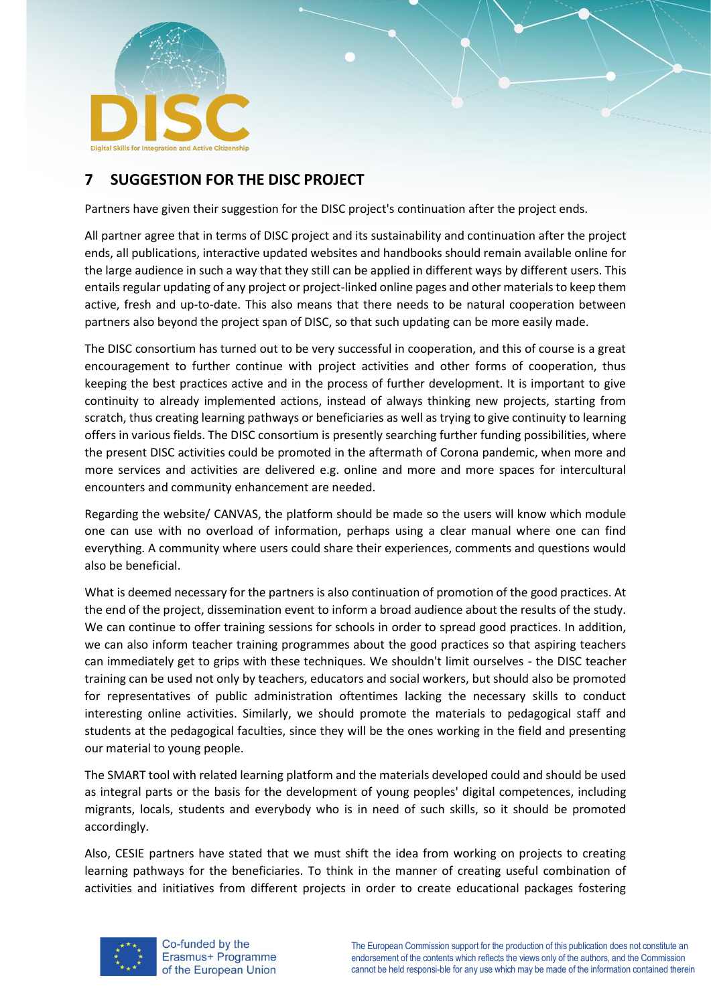

# <span id="page-20-0"></span>**7 SUGGESTION FOR THE DISC PROJECT**

Partners have given their suggestion for the DISC project's continuation after the project ends.

All partner agree that in terms of DISC project and its sustainability and continuation after the project ends, all publications, interactive updated websites and handbooks should remain available online for the large audience in such a way that they still can be applied in different ways by different users. This entails regular updating of any project or project-linked online pages and other materials to keep them active, fresh and up-to-date. This also means that there needs to be natural cooperation between partners also beyond the project span of DISC, so that such updating can be more easily made.

The DISC consortium has turned out to be very successful in cooperation, and this of course is a great encouragement to further continue with project activities and other forms of cooperation, thus keeping the best practices active and in the process of further development. It is important to give continuity to already implemented actions, instead of always thinking new projects, starting from scratch, thus creating learning pathways or beneficiaries as well as trying to give continuity to learning offers in various fields. The DISC consortium is presently searching further funding possibilities, where the present DISC activities could be promoted in the aftermath of Corona pandemic, when more and more services and activities are delivered e.g. online and more and more spaces for intercultural encounters and community enhancement are needed.

Regarding the website/ CANVAS, the platform should be made so the users will know which module one can use with no overload of information, perhaps using a clear manual where one can find everything. A community where users could share their experiences, comments and questions would also be beneficial.

What is deemed necessary for the partners is also continuation of promotion of the good practices. At the end of the project, dissemination event to inform a broad audience about the results of the study. We can continue to offer training sessions for schools in order to spread good practices. In addition, we can also inform teacher training programmes about the good practices so that aspiring teachers can immediately get to grips with these techniques. We shouldn't limit ourselves - the DISC teacher training can be used not only by teachers, educators and social workers, but should also be promoted for representatives of public administration oftentimes lacking the necessary skills to conduct interesting online activities. Similarly, we should promote the materials to pedagogical staff and students at the pedagogical faculties, since they will be the ones working in the field and presenting our material to young people.

The SMART tool with related learning platform and the materials developed could and should be used as integral parts or the basis for the development of young peoples' digital competences, including migrants, locals, students and everybody who is in need of such skills, so it should be promoted accordingly.

Also, CESIE partners have stated that we must shift the idea from working on projects to creating learning pathways for the beneficiaries. To think in the manner of creating useful combination of activities and initiatives from different projects in order to create educational packages fostering